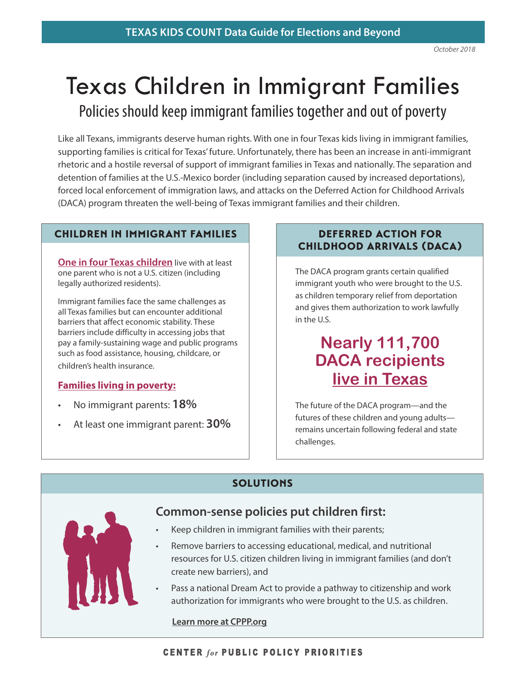# Texas Children in Immigrant Families

Policies should keep immigrant families together and out of poverty

Like all Texans, immigrants deserve human rights. With one in four Texas kids living in immigrant families, supporting families is critical for Texas' future. Unfortunately, there has been an increase in anti-immigrant rhetoric and a hostile reversal of support of immigrant families in Texas and nationally. The separation and detention of families at the U.S.-Mexico border (including separation caused by increased deportations), forced local enforcement of immigration laws, and attacks on the Deferred Action for Childhood Arrivals (DACA) program threaten the well-being of Texas immigrant families and their children.

#### CHILDREN IN IMMIGRANT FAMILIES

**One in four Texas children** live with at least one parent who is not a U.S. citizen (including legally authorized residents).

Immigrant families face the same challenges as all Texas families but can encounter additional barriers that affect economic stability. These barriers include difficulty in accessing jobs that pay a family-sustaining wage and public programs such as food assistance, housing, childcare, or children's health insurance.

#### **Families living in poverty:**

- No immigrant parents: **18%**
- At least one immigrant parent: **30%**

#### DEFERRED ACTION FOR CHILDHOOD ARRIVALS (DACA)

The DACA program grants certain qualified immigrant youth who were brought to the U.S. as children temporary relief from deportation and gives them authorization to work lawfully in the U.S.

# **Nearly 111,700 DACA recipients live in Texas**

The future of the DACA program—and the futures of these children and young adults remains uncertain following federal and state challenges.

## **SOLUTIONS**



## **Common-sense policies put children first:**

- Keep children in immigrant families with their parents;
- Remove barriers to accessing educational, medical, and nutritional resources for U.S. citizen children living in immigrant families (and don't create new barriers), and
- Pass a national Dream Act to provide a pathway to citizenship and work authorization for immigrants who were brought to the U.S. as children.

**[Learn more at CPPP.org](https://forabettertexas.org/)**